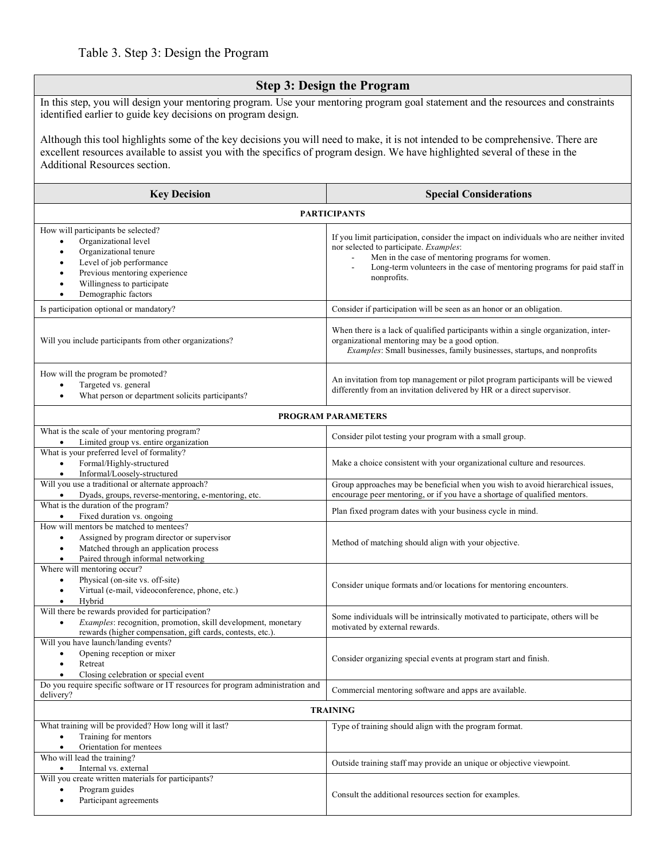# **Step 3: Design the Program**

In this step, you will design your mentoring program. Use your mentoring program goal statement and the resources and constraints identified earlier to guide key decisions on program design.

Although this tool highlights some of the key decisions you will need to make, it is not intended to be comprehensive. There are excellent resources available to assist you with the specifics of program design. We have highlighted several of these in the Additional Resources section.

| <b>Key Decision</b>                                                                                                                                                                                   | <b>Special Considerations</b>                                                                                                                                                                                                                                                   |
|-------------------------------------------------------------------------------------------------------------------------------------------------------------------------------------------------------|---------------------------------------------------------------------------------------------------------------------------------------------------------------------------------------------------------------------------------------------------------------------------------|
| <b>PARTICIPANTS</b>                                                                                                                                                                                   |                                                                                                                                                                                                                                                                                 |
| How will participants be selected?<br>Organizational level<br>Organizational tenure<br>Level of job performance<br>Previous mentoring experience<br>Willingness to participate<br>Demographic factors | If you limit participation, consider the impact on individuals who are neither invited<br>nor selected to participate. Examples:<br>Men in the case of mentoring programs for women.<br>Long-term volunteers in the case of mentoring programs for paid staff in<br>nonprofits. |
| Is participation optional or mandatory?                                                                                                                                                               | Consider if participation will be seen as an honor or an obligation.                                                                                                                                                                                                            |
| Will you include participants from other organizations?                                                                                                                                               | When there is a lack of qualified participants within a single organization, inter-<br>organizational mentoring may be a good option.<br>Examples: Small businesses, family businesses, startups, and nonprofits                                                                |
| How will the program be promoted?<br>Targeted vs. general<br>What person or department solicits participants?                                                                                         | An invitation from top management or pilot program participants will be viewed<br>differently from an invitation delivered by HR or a direct supervisor.                                                                                                                        |
| PROGRAM PARAMETERS                                                                                                                                                                                    |                                                                                                                                                                                                                                                                                 |
| What is the scale of your mentoring program?<br>Limited group vs. entire organization                                                                                                                 | Consider pilot testing your program with a small group.                                                                                                                                                                                                                         |
| What is your preferred level of formality?<br>Formal/Highly-structured<br>$\bullet$<br>Informal/Loosely-structured                                                                                    | Make a choice consistent with your organizational culture and resources.                                                                                                                                                                                                        |
| Will you use a traditional or alternate approach?<br>Dyads, groups, reverse-mentoring, e-mentoring, etc.                                                                                              | Group approaches may be beneficial when you wish to avoid hierarchical issues,<br>encourage peer mentoring, or if you have a shortage of qualified mentors.                                                                                                                     |
| What is the duration of the program?<br>Fixed duration vs. ongoing<br>$\bullet$                                                                                                                       | Plan fixed program dates with your business cycle in mind.                                                                                                                                                                                                                      |
| How will mentors be matched to mentees?<br>Assigned by program director or supervisor<br>$\bullet$<br>Matched through an application process<br>Paired through informal networking                    | Method of matching should align with your objective.                                                                                                                                                                                                                            |
| Where will mentoring occur?<br>Physical (on-site vs. off-site)<br>$\bullet$<br>Virtual (e-mail, videoconference, phone, etc.)<br>Hybrid                                                               | Consider unique formats and/or locations for mentoring encounters.                                                                                                                                                                                                              |
| Will there be rewards provided for participation?<br>Examples: recognition, promotion, skill development, monetary<br>rewards (higher compensation, gift cards, contests, etc.).                      | Some individuals will be intrinsically motivated to participate, others will be<br>motivated by external rewards.                                                                                                                                                               |
| Will you have launch/landing events?<br>Opening reception or mixer<br>Retreat<br>$\bullet$<br>Closing celebration or special event                                                                    | Consider organizing special events at program start and finish.                                                                                                                                                                                                                 |
| Do you require specific software or IT resources for program administration and<br>delivery?                                                                                                          | Commercial mentoring software and apps are available.                                                                                                                                                                                                                           |
| <b>TRAINING</b>                                                                                                                                                                                       |                                                                                                                                                                                                                                                                                 |
| What training will be provided? How long will it last?<br>Training for mentors<br>Orientation for mentees<br>$\bullet$                                                                                | Type of training should align with the program format.                                                                                                                                                                                                                          |
| Who will lead the training?<br>Internal vs. external<br>$\bullet$                                                                                                                                     | Outside training staff may provide an unique or objective viewpoint.                                                                                                                                                                                                            |
| Will you create written materials for participants?<br>Program guides<br>$\bullet$<br>Participant agreements                                                                                          | Consult the additional resources section for examples.                                                                                                                                                                                                                          |